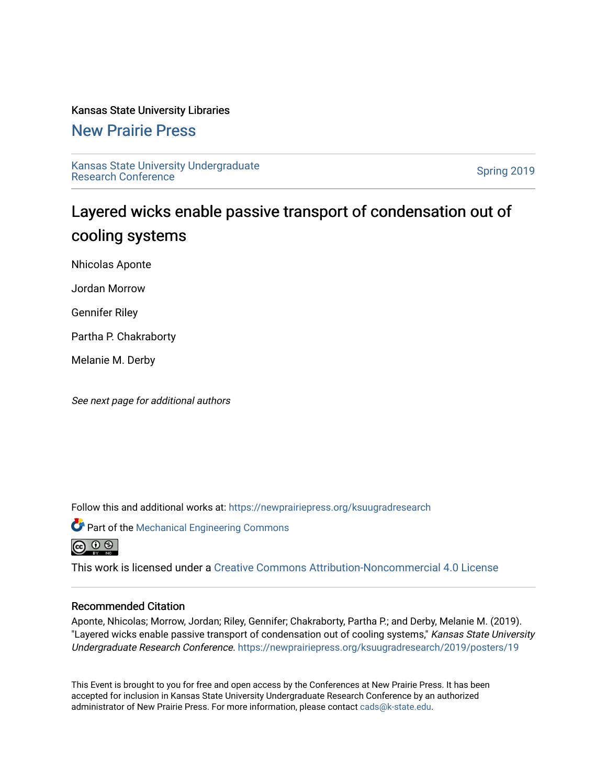#### Kansas State University Libraries

### [New Prairie Press](https://newprairiepress.org/)

[Kansas State University Undergraduate](https://newprairiepress.org/ksuugradresearch)  Ransas State University Undergraduate<br>[Research Conference](https://newprairiepress.org/ksuugradresearch)

### Layered wicks enable passive transport of condensation out of cooling systems

Nhicolas Aponte

Jordan Morrow

Gennifer Riley

Partha P. Chakraborty

Melanie M. Derby

See next page for additional authors

Follow this and additional works at: [https://newprairiepress.org/ksuugradresearch](https://newprairiepress.org/ksuugradresearch?utm_source=newprairiepress.org%2Fksuugradresearch%2F2019%2Fposters%2F19&utm_medium=PDF&utm_campaign=PDFCoverPages) 



This work is licensed under a [Creative Commons Attribution-Noncommercial 4.0 License](https://creativecommons.org/licenses/by-nc/4.0/)

#### Recommended Citation

Aponte, Nhicolas; Morrow, Jordan; Riley, Gennifer; Chakraborty, Partha P.; and Derby, Melanie M. (2019). "Layered wicks enable passive transport of condensation out of cooling systems," Kansas State University Undergraduate Research Conference.<https://newprairiepress.org/ksuugradresearch/2019/posters/19>

This Event is brought to you for free and open access by the Conferences at New Prairie Press. It has been accepted for inclusion in Kansas State University Undergraduate Research Conference by an authorized administrator of New Prairie Press. For more information, please contact [cads@k-state.edu](mailto:cads@k-state.edu).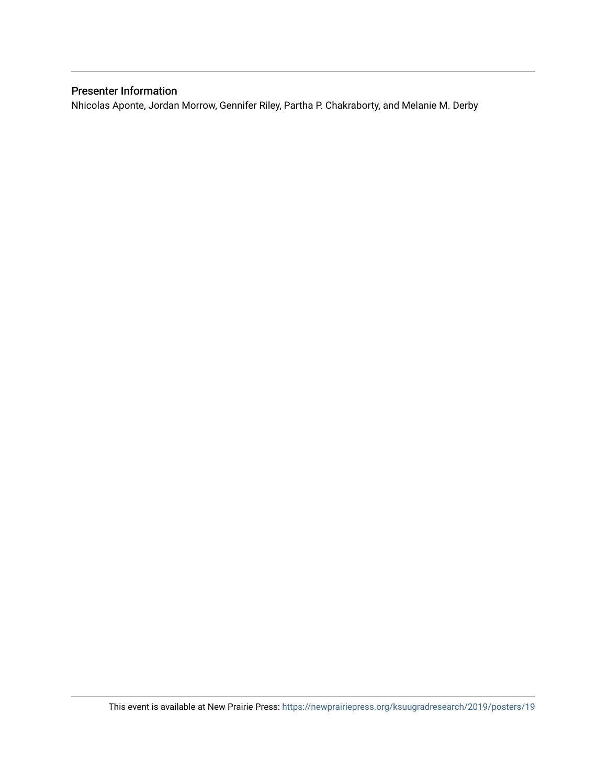### Presenter Information

Nhicolas Aponte, Jordan Morrow, Gennifer Riley, Partha P. Chakraborty, and Melanie M. Derby